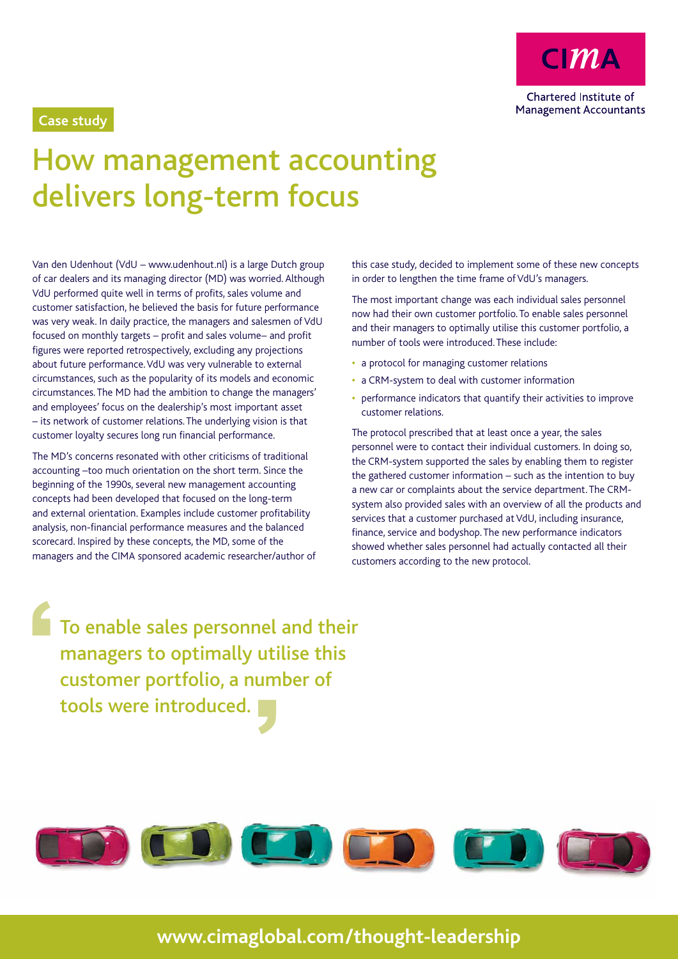

## **Case study**

## How management accounting delivers long-term focus

Van den Udenhout (VdU – www.udenhout.nl) is a large Dutch group of car dealers and its managing director (MD) was worried. Although VdU performed quite well in terms of profits, sales volume and customer satisfaction, he believed the basis for future performance was very weak. In daily practice, the managers and salesmen of VdU focused on monthly targets – profit and sales volume– and profit figures were reported retrospectively, excluding any projections about future performance. VdU was very vulnerable to external circumstances, such as the popularity of its models and economic circumstances. The MD had the ambition to change the managers' and employees' focus on the dealership's most important asset – its network of customer relations. The underlying vision is that customer loyalty secures long run financial performance.

The MD's concerns resonated with other criticisms of traditional accounting –too much orientation on the short term. Since the beginning of the 1990s, several new management accounting concepts had been developed that focused on the long-term and external orientation. Examples include customer profitability analysis, non-financial performance measures and the balanced scorecard. Inspired by these concepts, the MD, some of the managers and the CIMA sponsored academic researcher/author of this case study, decided to implement some of these new concepts in order to lengthen the time frame of VdU's managers.

The most important change was each individual sales personnel now had their own customer portfolio. To enable sales personnel and their managers to optimally utilise this customer portfolio, a number of tools were introduced. These include:

- **•**  a protocol for managing customer relations
- **•**  a CRM-system to deal with customer information
- performance indicators that quantify their activities to improve customer relations.

The protocol prescribed that at least once a year, the sales personnel were to contact their individual customers. In doing so, the CRM-system supported the sales by enabling them to register the gathered customer information – such as the intention to buy a new car or complaints about the service department. The CRMsystem also provided sales with an overview of all the products and services that a customer purchased at VdU, including insurance, finance, service and bodyshop. The new performance indicators showed whether sales personnel had actually contacted all their customers according to the new protocol.

To enable sales personnel and their managers to optimally utilise this customer portfolio, a number of tools were introduced.



## **www.cimaglobal.com/thought-leadership**